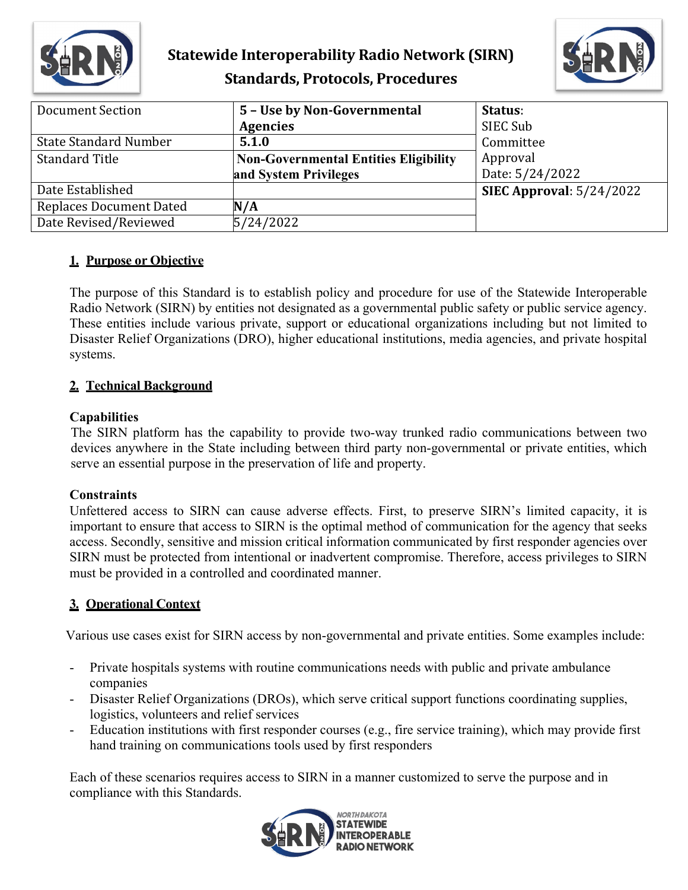

# **Statewide Interoperability Radio Network (SIRN) Standards, Protocols, Procedures**



| <b>Document Section</b>        | 5 - Use by Non-Governmental                  | Status:                    |
|--------------------------------|----------------------------------------------|----------------------------|
|                                | <b>Agencies</b>                              | SIEC Sub                   |
| <b>State Standard Number</b>   | 5.1.0                                        | Committee                  |
| <b>Standard Title</b>          | <b>Non-Governmental Entities Eligibility</b> | Approval                   |
|                                | and System Privileges                        | Date: 5/24/2022            |
| Date Established               |                                              | SIEC Approval: $5/24/2022$ |
| <b>Replaces Document Dated</b> | N/A                                          |                            |
| Date Revised/Reviewed          | 5/24/2022                                    |                            |

## **1. Purpose or Objective**

The purpose of this Standard is to establish policy and procedure for use of the Statewide Interoperable Radio Network (SIRN) by entities not designated as a governmental public safety or public service agency. These entities include various private, support or educational organizations including but not limited to Disaster Relief Organizations (DRO), higher educational institutions, media agencies, and private hospital systems.

## **2. Technical Background**

## **Capabilities**

The SIRN platform has the capability to provide two-way trunked radio communications between two devices anywhere in the State including between third party non-governmental or private entities, which serve an essential purpose in the preservation of life and property.

#### **Constraints**

Unfettered access to SIRN can cause adverse effects. First, to preserve SIRN's limited capacity, it is important to ensure that access to SIRN is the optimal method of communication for the agency that seeks access. Secondly, sensitive and mission critical information communicated by first responder agencies over SIRN must be protected from intentional or inadvertent compromise. Therefore, access privileges to SIRN must be provided in a controlled and coordinated manner.

## **3. Operational Context**

Various use cases exist for SIRN access by non-governmental and private entities. Some examples include:

- Private hospitals systems with routine communications needs with public and private ambulance companies
- Disaster Relief Organizations (DROs), which serve critical support functions coordinating supplies, logistics, volunteers and relief services
- Education institutions with first responder courses (e.g., fire service training), which may provide first hand training on communications tools used by first responders

Each of these scenarios requires access to SIRN in a manner customized to serve the purpose and in compliance with this Standards.

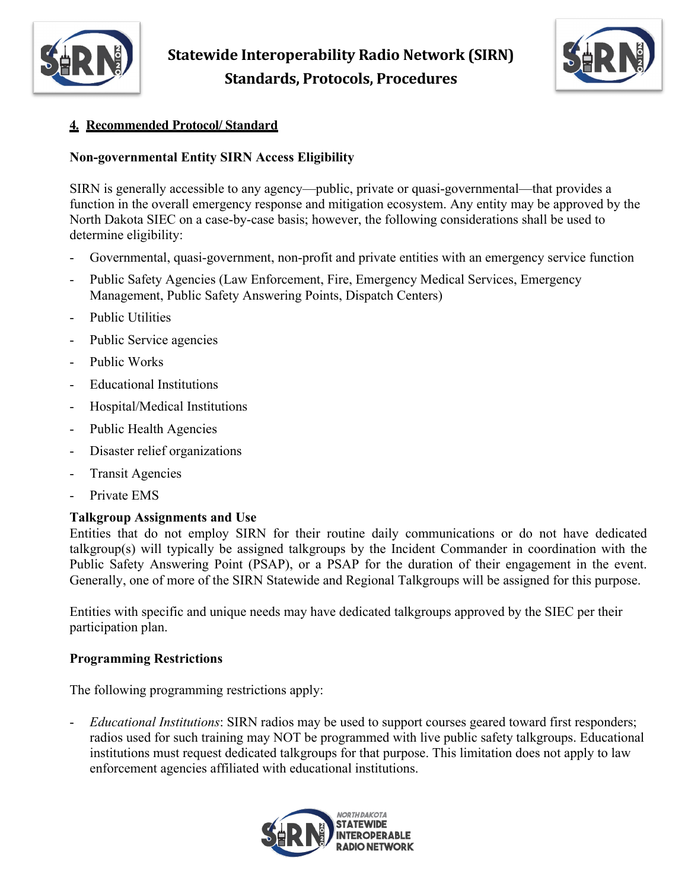



# **4. Recommended Protocol/ Standard**

# **Non-governmental Entity SIRN Access Eligibility**

SIRN is generally accessible to any agency—public, private or quasi-governmental—that provides a function in the overall emergency response and mitigation ecosystem. Any entity may be approved by the North Dakota SIEC on a case-by-case basis; however, the following considerations shall be used to determine eligibility:

- Governmental, quasi-government, non-profit and private entities with an emergency service function
- Public Safety Agencies (Law Enforcement, Fire, Emergency Medical Services, Emergency Management, Public Safety Answering Points, Dispatch Centers)
- Public Utilities
- Public Service agencies
- Public Works
- Educational Institutions
- Hospital/Medical Institutions
- Public Health Agencies
- Disaster relief organizations
- Transit Agencies
- Private EMS

#### **Talkgroup Assignments and Use**

Entities that do not employ SIRN for their routine daily communications or do not have dedicated talkgroup(s) will typically be assigned talkgroups by the Incident Commander in coordination with the Public Safety Answering Point (PSAP), or a PSAP for the duration of their engagement in the event. Generally, one of more of the SIRN Statewide and Regional Talkgroups will be assigned for this purpose.

Entities with specific and unique needs may have dedicated talkgroups approved by the SIEC per their participation plan.

#### **Programming Restrictions**

The following programming restrictions apply:

- *Educational Institutions*: SIRN radios may be used to support courses geared toward first responders; radios used for such training may NOT be programmed with live public safety talkgroups. Educational institutions must request dedicated talkgroups for that purpose. This limitation does not apply to law enforcement agencies affiliated with educational institutions.